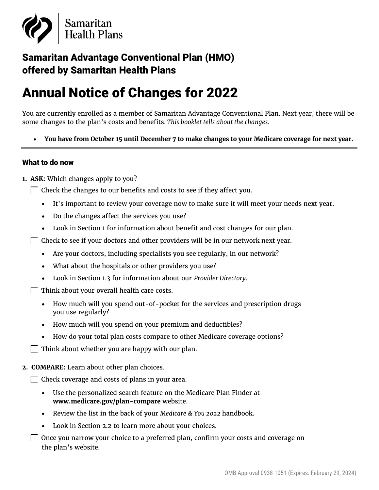

# Samaritan Advantage Conventional Plan (HMO) offered by Samaritan Health Plans

# Annual Notice of Changes for 2022

You are currently enrolled as a member of Samaritan Advantage Conventional Plan. Next year, there will be some changes to the plan's costs and benefits*. This booklet tells about the changes.*

• **You have from October 15 until December 7 to make changes to your Medicare coverage for next year.**

#### What to do now

- **1. ASK:** Which changes apply to you?
	- $\Box$  Check the changes to our benefits and costs to see if they affect you.
		- It's important to review your coverage now to make sure it will meet your needs next year.
		- Do the changes affect the services you use?
		- Look in Section 1 for information about benefit and cost changes for our plan.
	- $\Box$  Check to see if your doctors and other providers will be in our network next year.
		- Are your doctors, including specialists you see regularly, in our network?
		- What about the hospitals or other providers you use?
		- Look in Section 1.3 for information about our *Provider Directory*.
	- $\Box$  Think about your overall health care costs.
		- How much will you spend out-of-pocket for the services and prescription drugs you use regularly?
		- How much will you spend on your premium and deductibles?
		- How do your total plan costs compare to other Medicare coverage options?
	- $\Box$  Think about whether you are happy with our plan.
- **2. COMPARE:** Learn about other plan choices.
	- $\Box$  Check coverage and costs of plans in your area.
		- Use the personalized search feature on the Medicare Plan Finder at **[www.medicare.gov/plan-compare](http://www.medicare.gov/plan-compare)** website.
		- Review the list in the back of your *Medicare & You 2022* handbook.
		- Look in Section 2.2 to learn more about your choices.
	- $\Box$  Once you narrow your choice to a preferred plan, confirm your costs and coverage on the plan's website.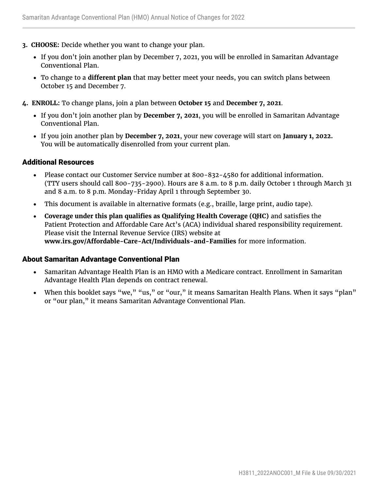- **3. CHOOSE:** Decide whether you want to change your plan.
	- If you don't join another plan by December 7, 2021, you will be enrolled in Samaritan Advantage Conventional Plan.
	- To change to a **different plan** that may better meet your needs, you can switch plans between October 15 and December 7.
- **4. ENROLL:** To change plans, join a plan between **October 15** and **December 7, 2021**.
	- If you don't join another plan by **December 7, 2021**, you will be enrolled in Samaritan Advantage Conventional Plan.
	- If you join another plan by **December 7, 2021**, your new coverage will start on **January 1, 2022.** You will be automatically disenrolled from your current plan.

#### Additional Resources

- Please contact our Customer Service number at 800-832-4580 for additional information. (TTY users should call 800-735-2900). Hours are 8 a.m. to 8 p.m. daily October 1 through March 31 and 8 a.m. to 8 p.m. Monday-Friday April 1 through September 30.
- This document is available in alternative formats (e.g., braille, large print, audio tape).
- **Coverage under this plan qualifies as Qualifying Health Coverage (QHC)** and satisfies the Patient Protection and Affordable Care Act's (ACA) individual shared responsibility requirement. Please visit the Internal Revenue Service (IRS) website at **[www.irs.gov/Affordable-Care-Act/Individuals-and-Families](http://www.irs.gov/Affordable-Care-Act/Individuals-and-Families)** for more information.

#### About Samaritan Advantage Conventional Plan

- Samaritan Advantage Health Plan is an HMO with a Medicare contract. Enrollment in Samaritan Advantage Health Plan depends on contract renewal.
- When this booklet says "we," "us," or "our," it means Samaritan Health Plans. When it says "plan" or "our plan," it means Samaritan Advantage Conventional Plan.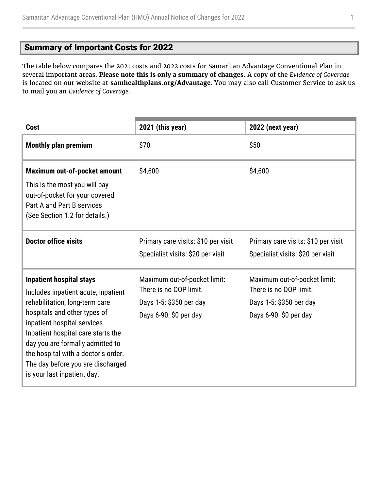# <span id="page-2-0"></span>Summary of Important Costs for 2022

The table below compares the 2021 costs and 2022 costs for Samaritan Advantage Conventional Plan in several important areas. **Please note this is only a summary of changes.** A copy of the *Evidence of Coverage* is located on our website at **[samhealthplans.org/Advantage](https://www.samhealthplans.org/members/medicare-members)**. You may also call Customer Service to ask us to mail you an *Evidence of Coverage.*

| <b>Cost</b>                                                                                                                                                                                                                                                                                                                                                   | 2021 (this year)                                                                                            | 2022 (next year)                                                                                            |
|---------------------------------------------------------------------------------------------------------------------------------------------------------------------------------------------------------------------------------------------------------------------------------------------------------------------------------------------------------------|-------------------------------------------------------------------------------------------------------------|-------------------------------------------------------------------------------------------------------------|
| <b>Monthly plan premium</b>                                                                                                                                                                                                                                                                                                                                   | \$70                                                                                                        | \$50                                                                                                        |
| Maximum out-of-pocket amount<br>This is the most you will pay<br>out-of-pocket for your covered<br>Part A and Part B services<br>(See Section 1.2 for details.)                                                                                                                                                                                               | \$4,600                                                                                                     | \$4,600                                                                                                     |
| <b>Doctor office visits</b>                                                                                                                                                                                                                                                                                                                                   | Primary care visits: \$10 per visit<br>Specialist visits: \$20 per visit                                    | Primary care visits: \$10 per visit<br>Specialist visits: \$20 per visit                                    |
| <b>Inpatient hospital stays</b><br>Includes inpatient acute, inpatient<br>rehabilitation, long-term care<br>hospitals and other types of<br>inpatient hospital services.<br>Inpatient hospital care starts the<br>day you are formally admitted to<br>the hospital with a doctor's order.<br>The day before you are discharged<br>is your last inpatient day. | Maximum out-of-pocket limit:<br>There is no OOP limit.<br>Days 1-5: \$350 per day<br>Days 6-90: \$0 per day | Maximum out-of-pocket limit:<br>There is no OOP limit.<br>Days 1-5: \$350 per day<br>Days 6-90: \$0 per day |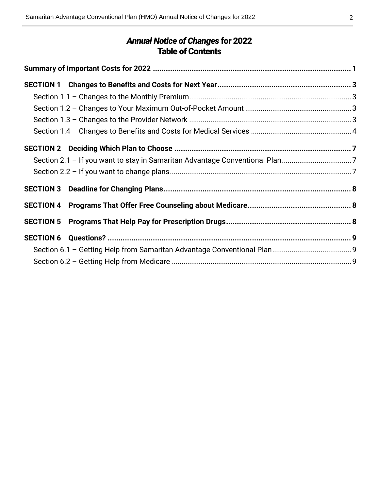# *Annual Notice of Changes* for 2022 Table of Contents

| Section 2.1 - If you want to stay in Samaritan Advantage Conventional Plan7 |  |
|-----------------------------------------------------------------------------|--|
|                                                                             |  |
|                                                                             |  |
|                                                                             |  |
|                                                                             |  |
|                                                                             |  |
|                                                                             |  |
|                                                                             |  |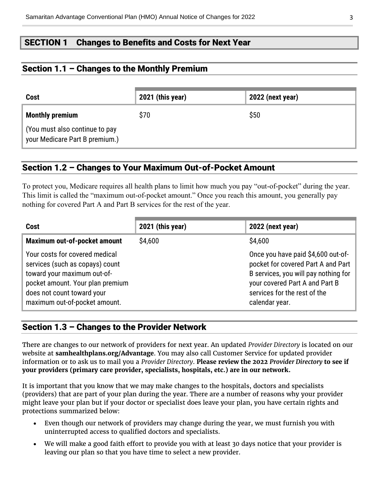# <span id="page-4-0"></span>SECTION 1 Changes to Benefits and Costs for Next Year

# <span id="page-4-1"></span>Section 1.1 – Changes to the Monthly Premium

| Cost                                                             | 2021 (this year) | <b>2022 (next year)</b> |
|------------------------------------------------------------------|------------------|-------------------------|
| <b>Monthly premium</b>                                           | \$70             | \$50                    |
| (You must also continue to pay<br>your Medicare Part B premium.) |                  |                         |

# <span id="page-4-2"></span>Section 1.2 – Changes to Your Maximum Out-of-Pocket Amount

To protect you, Medicare requires all health plans to limit how much you pay "out-of-pocket" during the year. This limit is called the "maximum out-of-pocket amount." Once you reach this amount, you generally pay nothing for covered Part A and Part B services for the rest of the year.

| <b>Cost</b>                                                                                                                                                                                         | 2021 (this year) | 2022 (next year)                                                                                                                                                                                     |
|-----------------------------------------------------------------------------------------------------------------------------------------------------------------------------------------------------|------------------|------------------------------------------------------------------------------------------------------------------------------------------------------------------------------------------------------|
| Maximum out-of-pocket amount                                                                                                                                                                        | \$4,600          | \$4,600                                                                                                                                                                                              |
| Your costs for covered medical<br>services (such as copays) count<br>toward your maximum out-of-<br>pocket amount. Your plan premium<br>does not count toward your<br>maximum out-of-pocket amount. |                  | Once you have paid \$4,600 out-of-<br>pocket for covered Part A and Part<br>B services, you will pay nothing for<br>your covered Part A and Part B<br>services for the rest of the<br>calendar year. |

# <span id="page-4-3"></span>Section 1.3 – Changes to the Provider Network

There are changes to our network of providers for next year. An updated *Provider Directory* is located on our website at **[samhealthplans.org/Advantage](https://www.samhealthplans.org/members/medicare-members)**. You may also call Customer Service for updated provider information or to ask us to mail you a *Provider Directory*. **Please review the 2022** *Provider Directory* **to see if your providers (primary care provider, specialists, hospitals, etc.) are in our network.**

It is important that you know that we may make changes to the hospitals, doctors and specialists (providers) that are part of your plan during the year. There are a number of reasons why your provider might leave your plan but if your doctor or specialist does leave your plan, you have certain rights and protections summarized below:

- Even though our network of providers may change during the year, we must furnish you with uninterrupted access to qualified doctors and specialists.
- We will make a good faith effort to provide you with at least 30 days notice that your provider is leaving our plan so that you have time to select a new provider.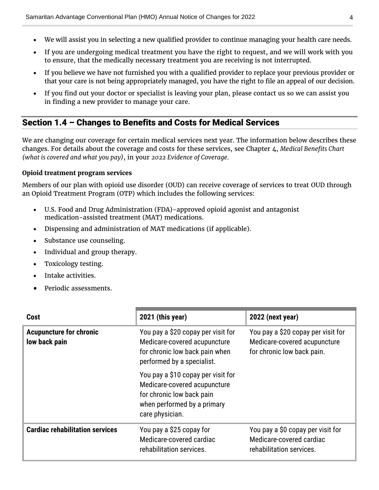- We will assist you in selecting a new qualified provider to continue managing your health care needs.
- If you are undergoing medical treatment you have the right to request, and we will work with you to ensure, that the medically necessary treatment you are receiving is not interrupted.
- If you believe we have not furnished you with a qualified provider to replace your previous provider or that your care is not being appropriately managed, you have the right to file an appeal of our decision.
- If you find out your doctor or specialist is leaving your plan, please contact us so we can assist you in finding a new provider to manage your care.

# <span id="page-5-0"></span>Section 1.4 – Changes to Benefits and Costs for Medical Services

We are changing our coverage for certain medical services next year. The information below describes these changes. For details about the coverage and costs for these services, see Chapter 4, *Medical Benefits Chart (what is covered and what you pay)*, in your *2022 Evidence of Coverage.*

#### **Opioid treatment program services**

Members of our plan with opioid use disorder (OUD) can receive coverage of services to treat OUD through an Opioid Treatment Program (OTP) which includes the following services:

- U.S. Food and Drug Administration (FDA)-approved opioid agonist and antagonist medication-assisted treatment (MAT) medications.
- Dispensing and administration of MAT medications (if applicable).
- Substance use counseling.
- Individual and group therapy.
- Toxicology testing.
- Intake activities.
- Periodic assessments.

| Cost                                            | 2021 (this year)                                                                                                                                  | 2022 (next year)                                                                                 |
|-------------------------------------------------|---------------------------------------------------------------------------------------------------------------------------------------------------|--------------------------------------------------------------------------------------------------|
| <b>Acupuncture for chronic</b><br>low back pain | You pay a \$20 copay per visit for<br>Medicare-covered acupuncture<br>for chronic low back pain when<br>performed by a specialist.                | You pay a \$20 copay per visit for<br>Medicare-covered acupuncture<br>for chronic low back pain. |
|                                                 | You pay a \$10 copay per visit for<br>Medicare-covered acupuncture<br>for chronic low back pain<br>when performed by a primary<br>care physician. |                                                                                                  |
| <b>Cardiac rehabilitation services</b>          | You pay a \$25 copay for<br>Medicare-covered cardiac<br>rehabilitation services.                                                                  | You pay a \$0 copay per visit for<br>Medicare-covered cardiac<br>rehabilitation services.        |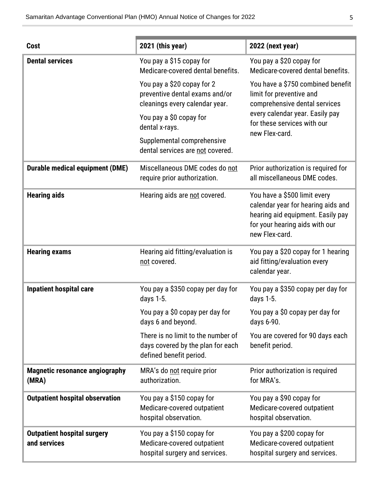| Cost                                               | 2021 (this year)                                                                                   | 2022 (next year)                                                                                                                                            |
|----------------------------------------------------|----------------------------------------------------------------------------------------------------|-------------------------------------------------------------------------------------------------------------------------------------------------------------|
| <b>Dental services</b>                             | You pay a \$15 copay for<br>Medicare-covered dental benefits.                                      | You pay a \$20 copay for<br>Medicare-covered dental benefits.                                                                                               |
|                                                    | You pay a \$20 copay for 2<br>preventive dental exams and/or<br>cleanings every calendar year.     | You have a \$750 combined benefit<br>limit for preventive and<br>comprehensive dental services                                                              |
|                                                    | You pay a \$0 copay for<br>dental x-rays.                                                          | every calendar year. Easily pay<br>for these services with our<br>new Flex-card.                                                                            |
|                                                    | Supplemental comprehensive<br>dental services are not covered.                                     |                                                                                                                                                             |
| <b>Durable medical equipment (DME)</b>             | Miscellaneous DME codes do not<br>require prior authorization.                                     | Prior authorization is required for<br>all miscellaneous DME codes.                                                                                         |
| <b>Hearing aids</b>                                | Hearing aids are not covered.                                                                      | You have a \$500 limit every<br>calendar year for hearing aids and<br>hearing aid equipment. Easily pay<br>for your hearing aids with our<br>new Flex-card. |
| <b>Hearing exams</b>                               | Hearing aid fitting/evaluation is<br>not covered.                                                  | You pay a \$20 copay for 1 hearing<br>aid fitting/evaluation every<br>calendar year.                                                                        |
| <b>Inpatient hospital care</b>                     | You pay a \$350 copay per day for<br>days 1-5.                                                     | You pay a \$350 copay per day for<br>days 1-5.                                                                                                              |
|                                                    | You pay a \$0 copay per day for<br>days 6 and beyond.                                              | You pay a \$0 copay per day for<br>days 6-90.                                                                                                               |
|                                                    | There is no limit to the number of<br>days covered by the plan for each<br>defined benefit period. | You are covered for 90 days each<br>benefit period.                                                                                                         |
| <b>Magnetic resonance angiography</b><br>(MRA)     | MRA's do not require prior<br>authorization.                                                       | Prior authorization is required<br>for MRA's.                                                                                                               |
| <b>Outpatient hospital observation</b>             | You pay a \$150 copay for<br>Medicare-covered outpatient<br>hospital observation.                  | You pay a \$90 copay for<br>Medicare-covered outpatient<br>hospital observation.                                                                            |
| <b>Outpatient hospital surgery</b><br>and services | You pay a \$150 copay for<br>Medicare-covered outpatient<br>hospital surgery and services.         | You pay a \$200 copay for<br>Medicare-covered outpatient<br>hospital surgery and services.                                                                  |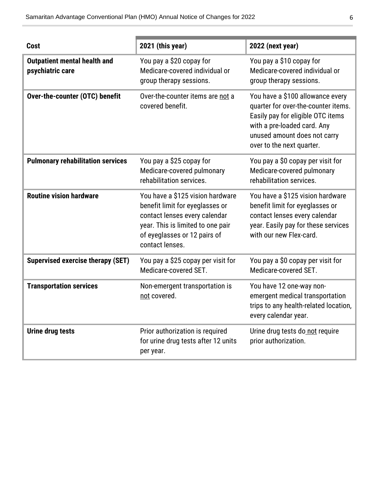| Cost                                                    | 2021 (this year)                                                                                                                                                                             | 2022 (next year)                                                                                                                                                                                         |
|---------------------------------------------------------|----------------------------------------------------------------------------------------------------------------------------------------------------------------------------------------------|----------------------------------------------------------------------------------------------------------------------------------------------------------------------------------------------------------|
| <b>Outpatient mental health and</b><br>psychiatric care | You pay a \$20 copay for<br>Medicare-covered individual or<br>group therapy sessions.                                                                                                        | You pay a \$10 copay for<br>Medicare-covered individual or<br>group therapy sessions.                                                                                                                    |
| Over-the-counter (OTC) benefit                          | Over-the-counter items are not a<br>covered benefit.                                                                                                                                         | You have a \$100 allowance every<br>quarter for over-the-counter items.<br>Easily pay for eligible OTC items<br>with a pre-loaded card. Any<br>unused amount does not carry<br>over to the next quarter. |
| <b>Pulmonary rehabilitation services</b>                | You pay a \$25 copay for<br>Medicare-covered pulmonary<br>rehabilitation services.                                                                                                           | You pay a \$0 copay per visit for<br>Medicare-covered pulmonary<br>rehabilitation services.                                                                                                              |
| <b>Routine vision hardware</b>                          | You have a \$125 vision hardware<br>benefit limit for eyeglasses or<br>contact lenses every calendar<br>year. This is limited to one pair<br>of eyeglasses or 12 pairs of<br>contact lenses. | You have a \$125 vision hardware<br>benefit limit for eyeglasses or<br>contact lenses every calendar<br>year. Easily pay for these services<br>with our new Flex-card.                                   |
| <b>Supervised exercise therapy (SET)</b>                | You pay a \$25 copay per visit for<br>Medicare-covered SET.                                                                                                                                  | You pay a \$0 copay per visit for<br>Medicare-covered SET.                                                                                                                                               |
| <b>Transportation services</b>                          | Non-emergent transportation is<br>not covered.                                                                                                                                               | You have 12 one-way non-<br>emergent medical transportation<br>trips to any health-related location,<br>every calendar year.                                                                             |
| <b>Urine drug tests</b>                                 | Prior authorization is required<br>for urine drug tests after 12 units<br>per year.                                                                                                          | Urine drug tests do not require<br>prior authorization.                                                                                                                                                  |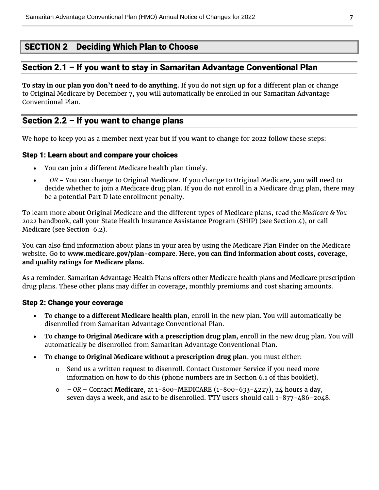# <span id="page-8-0"></span>SECTION 2 Deciding Which Plan to Choose

# <span id="page-8-1"></span>Section 2.1 – If you want to stay in Samaritan Advantage Conventional Plan

**To stay in our plan you don't need to do anything.** If you do not sign up for a different plan or change to Original Medicare by December 7, you will automatically be enrolled in our Samaritan Advantage Conventional Plan.

### <span id="page-8-2"></span>Section 2.2 – If you want to change plans

We hope to keep you as a member next year but if you want to change for 2022 follow these steps:

#### Step 1: Learn about and compare your choices

- You can join a different Medicare health plan timely.
- *- OR* You can change to Original Medicare. If you change to Original Medicare, you will need to decide whether to join a Medicare drug plan. If you do not enroll in a Medicare drug plan, there may be a potential Part D late enrollment penalty.

To learn more about Original Medicare and the different types of Medicare plans, read the *Medicare & You 2022* handbook, call your State Health Insurance Assistance Program (SHIP) (see Section 4), or call Medicare (see Section 6.2).

You can also find information about plans in your area by using the Medicare Plan Finder on the Medicare website. Go to **[www.medicare.gov/plan-compare](http://www.medicare.gov/plan-compare)**. **Here, you can find information about costs, coverage, and quality ratings for Medicare plans.**

As a reminder, Samaritan Advantage Health Plans offers other Medicare health plans and Medicare prescription drug plans. These other plans may differ in coverage, monthly premiums and cost sharing amounts.

#### Step 2: Change your coverage

- To **change to a different Medicare health plan**, enroll in the new plan. You will automatically be disenrolled from Samaritan Advantage Conventional Plan.
- To **change to Original Medicare with a prescription drug plan,** enroll in the new drug plan. You will automatically be disenrolled from Samaritan Advantage Conventional Plan.
- To **change to Original Medicare without a prescription drug plan**, you must either:
	- $\circ$  Send us a written request to disenroll. Contact Customer Service if you need more information on how to do this (phone numbers are in Section 6.1 of this booklet).
	- o *– OR –* Contact **Medicare**, at 1-800-MEDICARE (1-800-633-4227), 24 hours a day, seven days a week, and ask to be disenrolled. TTY users should call 1-877-486-2048.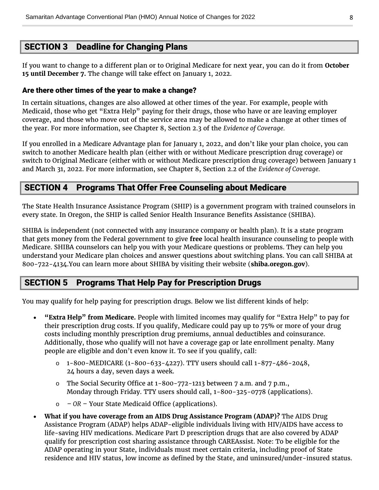# <span id="page-9-0"></span>SECTION 3 Deadline for Changing Plans

If you want to change to a different plan or to Original Medicare for next year, you can do it from **October 15 until December 7.** The change will take effect on January 1, 2022.

#### Are there other times of the year to make a change?

In certain situations, changes are also allowed at other times of the year. For example, people with Medicaid, those who get "Extra Help" paying for their drugs, those who have or are leaving employer coverage, and those who move out of the service area may be allowed to make a change at other times of the year. For more information, see Chapter 8, Section 2.3 of the *Evidence of Coverage.*

If you enrolled in a Medicare Advantage plan for January 1, 2022, and don't like your plan choice, you can switch to another Medicare health plan (either with or without Medicare prescription drug coverage) or switch to Original Medicare (either with or without Medicare prescription drug coverage) between January 1 and March 31, 2022. For more information, see Chapter 8, Section 2.2 of the *Evidence of Coverage.*

## <span id="page-9-1"></span>SECTION 4 Programs That Offer Free Counseling about Medicare

The State Health Insurance Assistance Program (SHIP) is a government program with trained counselors in every state. In Oregon, the SHIP is called Senior Health Insurance Benefits Assistance (SHIBA).

SHIBA is independent (not connected with any insurance company or health plan). It is a state program that gets money from the Federal government to give **free** local health insurance counseling to people with Medicare. SHIBA counselors can help you with your Medicare questions or problems. They can help you understand your Medicare plan choices and answer questions about switching plans. You can call SHIBA at 800-722-4134.You can learn more about SHIBA by visiting their website (**[shiba.oregon.gov](https://healthcare.oregon.gov/shiba/pages/index.aspx)**).

# <span id="page-9-2"></span>SECTION 5 Programs That Help Pay for Prescription Drugs

You may qualify for help paying for prescription drugs. Below we list different kinds of help:

- **"Extra Help" from Medicare.** People with limited incomes may qualify for "Extra Help" to pay for their prescription drug costs. If you qualify, Medicare could pay up to 75% or more of your drug costs including monthly prescription drug premiums, annual deductibles and coinsurance. Additionally, those who qualify will not have a coverage gap or late enrollment penalty. Many people are eligible and don't even know it. To see if you qualify, call:
	- o 1-800-MEDICARE (1-800-633-4227). TTY users should call 1-877-486-2048, 24 hours a day, seven days a week.
	- $\circ$  The Social Security Office at 1-800-772-1213 between 7 a.m. and 7 p.m., Monday through Friday. TTY users should call, 1-800-325-0778 (applications).
	- o *– OR –* Your State Medicaid Office (applications).
- **What if you have coverage from an AIDS Drug Assistance Program (ADAP)?** The AIDS Drug Assistance Program (ADAP) helps ADAP-eligible individuals living with HIV/AIDS have access to life-saving HIV medications. Medicare Part D prescription drugs that are also covered by ADAP qualify for prescription cost sharing assistance through CAREAssist. Note: To be eligible for the ADAP operating in your State, individuals must meet certain criteria, including proof of State residence and HIV status, low income as defined by the State, and uninsured/under-insured status.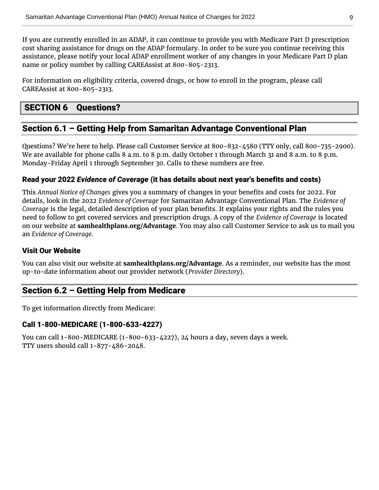If you are currently enrolled in an ADAP, it can continue to provide you with Medicare Part D prescription cost sharing assistance for drugs on the ADAP formulary. In order to be sure you continue receiving this assistance, please notify your local ADAP enrollment worker of any changes in your Medicare Part D plan name or policy number by calling CAREAssist at 800-805-2313.

For information on eligibility criteria, covered drugs, or how to enroll in the program, please call CAREAssist at 800-805-2313.

# <span id="page-10-0"></span>SECTION 6 Questions?

# <span id="page-10-1"></span>Section 6.1 – Getting Help from Samaritan Advantage Conventional Plan

Questions? We're here to help. Please call Customer Service at 800-832-4580 (TTY only, call 800-735-2900). We are available for phone calls 8 a.m. to 8 p.m. daily October 1 through March 31 and 8 a.m. to 8 p.m. Monday-Friday April 1 through September 30. Calls to these numbers are free.

#### Read your 2022 *Evidence of Coverage* (it has details about next year's benefits and costs)

This *Annual Notice of Changes* gives you a summary of changes in your benefits and costs for 2022. For details, look in the 2022 *Evidence of Coverage* for Samaritan Advantage Conventional Plan. The *Evidence of Coverage* is the legal, detailed description of your plan benefits. It explains your rights and the rules you need to follow to get covered services and prescription drugs. A copy of the *Evidence of Coverage* is located on our website at **[samhealthplans.org/Advantage](https://www.samhealthplans.org/members/medicare-members)**. You may also call Customer Service to ask us to mail you an *Evidence of Coverage.*

#### Visit Our Website

You can also visit our website at **[samhealthplans.org/Advantage](https://www.samhealthplans.org/members/medicare-members)**. As a reminder, our website has the most up-to-date information about our provider network (*Provider Directory*).

# <span id="page-10-2"></span>Section 6.2 – Getting Help from Medicare

To get information directly from Medicare:

#### Call 1-800-MEDICARE (1-800-633-4227)

You can call 1-800-MEDICARE (1-800-633-4227), 24 hours a day, seven days a week. TTY users should call 1-877-486-2048.